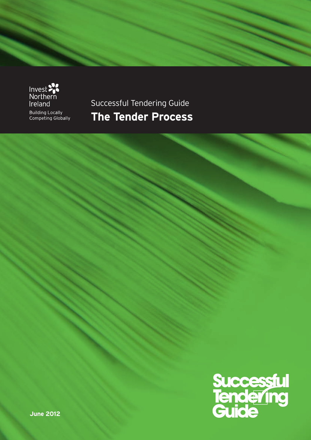

Successful Tendering Guide **The Tender Process**

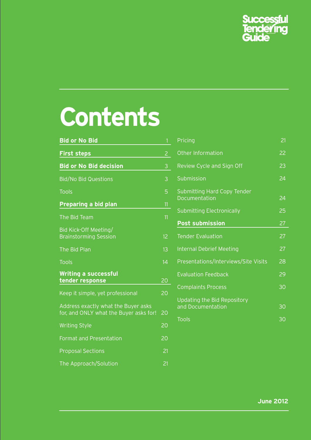

# **Contents**

| <b>Bid or No Bid</b>                                                          | $\mathbf{1}$    |
|-------------------------------------------------------------------------------|-----------------|
| <b>First steps</b>                                                            | $\overline{c}$  |
| <b>Bid or No Bid decision</b>                                                 | 3               |
| <b>Bid/No Bid Questions</b>                                                   | 3               |
| <b>Tools</b>                                                                  | 5               |
| Preparing a bid plan                                                          | 11              |
| The Bid Team                                                                  | 11              |
| Bid Kick-Off Meeting/<br><b>Brainstorming Session</b>                         | 12              |
| The Bid Plan                                                                  | 13              |
| <b>Tools</b>                                                                  | 14              |
| <b>Writing a successful</b><br>tender response                                | 20              |
| Keep it simple, yet professional                                              | 20              |
| Address exactly what the Buyer asks<br>for, and ONLY what the Buyer asks for! | 20              |
| <b>Writing Style</b>                                                          | 20              |
| <b>Format and Presentation</b>                                                | 20              |
| <b>Proposal Sections</b>                                                      | $\overline{21}$ |
| The Approach/Solution                                                         | 21              |

| Pricing                                             | 21              |
|-----------------------------------------------------|-----------------|
| <b>Other Information</b>                            | 22              |
| Review Cycle and Sign Off                           | 23              |
| Submission                                          | 24              |
| <b>Submitting Hard Copy Tender</b><br>Documentation | 24              |
| <b>Submitting Electronically</b>                    | 25              |
| <b>Post submission</b>                              | 27              |
| <b>Tender Evaluation</b>                            | 27              |
| <b>Internal Debrief Meeting</b>                     | 27              |
| Presentations/Interviews/Site Visits                | 28              |
| <b>Evaluation Feedback</b>                          | $2\overline{9}$ |
| <b>Complaints Process</b>                           | 30              |
| Updating the Bid Repository<br>and Documentation    | 30              |
|                                                     |                 |
| Tools                                               | 30              |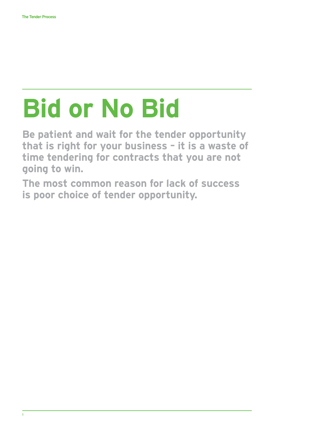# **Bid or No Bid**

**Be patient and wait for the tender opportunity that is right for your business – it is a waste of time tendering for contracts that you are not going to win.**

**The most common reason for lack of success is poor choice of tender opportunity.**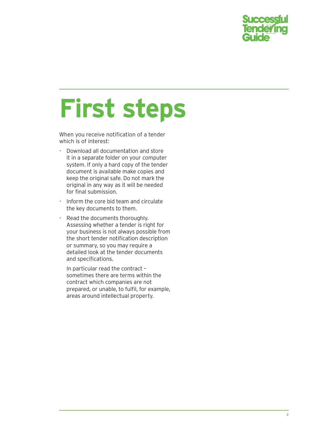

# **First steps**

When you receive notification of a tender which is of interest:

- Download all documentation and store it in a separate folder on your computer system. If only a hard copy of the tender document is available make copies and keep the original safe. Do not mark the original in any way as it will be needed for final submission.
- Inform the core bid team and circulate the key documents to them.
- Read the documents thoroughly. Assessing whether a tender is right for your business is not always possible from the short tender notification description or summary, so you may require a detailed look at the tender documents and specifications.

In particular read the contract – sometimes there are terms within the contract which companies are not prepared, or unable, to fulfil, for example, areas around intellectual property.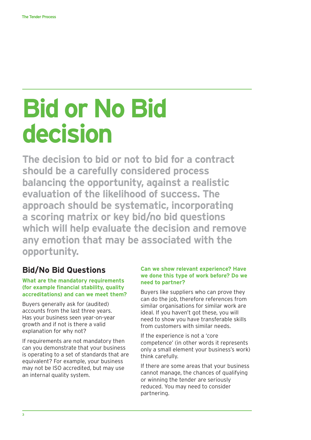# **Bid or No Bid decision**

**The decision to bid or not to bid for a contract should be a carefully considered process balancing the opportunity, against a realistic evaluation of the likelihood of success. The approach should be systematic, incorporating a scoring matrix or key bid/no bid questions which will help evaluate the decision and remove any emotion that may be associated with the opportunity.**

# **Bid/No Bid Questions**

#### **What are the mandatory requirements (for example financial stability, quality accreditations) and can we meet them?**

Buyers generally ask for (audited) accounts from the last three years. Has your business seen year-on-year growth and if not is there a valid explanation for why not?

If requirements are not mandatory then can you demonstrate that your business is operating to a set of standards that are equivalent? For example, your business may not be ISO accredited, but may use an internal quality system.

#### **Can we show relevant experience? Have we done this type of work before? Do we need to partner?**

Buyers like suppliers who can prove they can do the job, therefore references from similar organisations for similar work are ideal. If you haven't got these, you will need to show you have transferable skills from customers with similar needs.

If the experience is not a 'core competence' (in other words it represents only a small element your business's work) think carefully.

If there are some areas that your business cannot manage, the chances of qualifying or winning the tender are seriously reduced. You may need to consider partnering.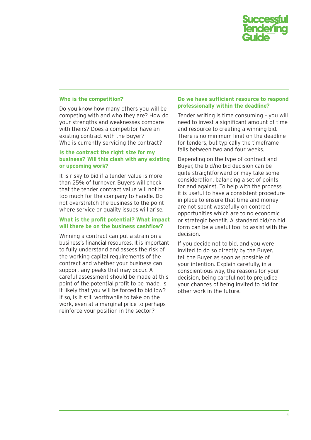

#### **Who is the competition?**

Do you know how many others you will be competing with and who they are? How do your strengths and weaknesses compare with theirs? Does a competitor have an existing contract with the Buyer? Who is currently servicing the contract?

#### **Is the contract the right size for my business? Will this clash with any existing or upcoming work?**

It is risky to bid if a tender value is more than 25% of turnover. Buyers will check that the tender contract value will not be too much for the company to handle. Do not overstretch the business to the point where service or quality issues will arise.

#### **What is the profit potential? What impact will there be on the business cashflow?**

Winning a contract can put a strain on a business's financial resources. It is important to fully understand and assess the risk of the working capital requirements of the contract and whether your business can support any peaks that may occur. A careful assessment should be made at this point of the potential profit to be made. Is it likely that you will be forced to bid low? If so, is it still worthwhile to take on the work, even at a marginal price to perhaps reinforce your position in the sector?

#### **Do we have sufficient resource to respond professionally within the deadline?**

Tender writing is time consuming – you will need to invest a significant amount of time and resource to creating a winning bid. There is no minimum limit on the deadline for tenders, but typically the timeframe falls between two and four weeks.

Depending on the type of contract and Buyer, the bid/no bid decision can be quite straightforward or may take some consideration, balancing a set of points for and against. To help with the process it is useful to have a consistent procedure in place to ensure that time and money are not spent wastefully on contract opportunities which are to no economic or strategic benefit. A standard bid/no bid form can be a useful tool to assist with the decision.

If you decide not to bid, and you were invited to do so directly by the Buyer, tell the Buyer as soon as possible of your intention. Explain carefully, in a conscientious way, the reasons for your decision, being careful not to prejudice your chances of being invited to bid for other work in the future.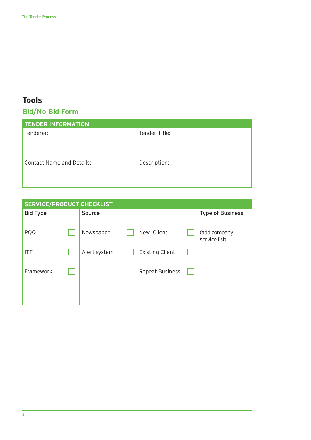# **Tools**

# **Bid/No Bid Form**

| <b>TENDER INFORMATION</b>        |               |
|----------------------------------|---------------|
| Tenderer:                        | Tender Title: |
| <b>Contact Name and Details:</b> | Description:  |

| <b>SERVICE/PRODUCT CHECKLIST</b> |  |              |  |                        |  |                               |
|----------------------------------|--|--------------|--|------------------------|--|-------------------------------|
| <b>Bid Type</b>                  |  | Source       |  |                        |  | <b>Type of Business</b>       |
| PQQ                              |  | Newspaper    |  | New Client             |  | (add company<br>service list) |
| <b>ITT</b>                       |  | Alert system |  | <b>Existing Client</b> |  |                               |
| Framework                        |  |              |  | <b>Repeat Business</b> |  |                               |
|                                  |  |              |  |                        |  |                               |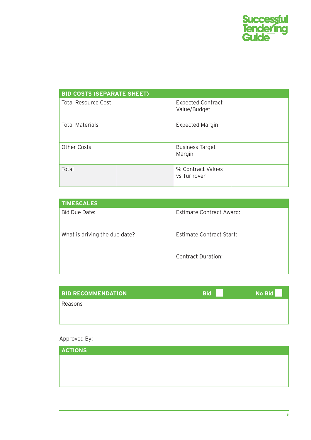

| <b>BID COSTS (SEPARATE SHEET)</b> |                                          |  |  |  |
|-----------------------------------|------------------------------------------|--|--|--|
| <b>Total Resource Cost</b>        | <b>Expected Contract</b><br>Value/Budget |  |  |  |
| <b>Total Materials</b>            | <b>Expected Margin</b>                   |  |  |  |
| <b>Other Costs</b>                | <b>Business Target</b><br>Margin         |  |  |  |
| Total                             | % Contract Values<br>vs Turnover         |  |  |  |

| <b>TIMESCALES</b>             |                                 |
|-------------------------------|---------------------------------|
| Bid Due Date:                 | <b>Estimate Contract Award:</b> |
| What is driving the due date? | <b>Estimate Contract Start:</b> |
|                               | <b>Contract Duration:</b>       |

| <b>BID RECOMMENDATION</b> | <b>Bid</b> | No Bid |
|---------------------------|------------|--------|
| Reasons                   |            |        |
|                           |            |        |

#### Approved By:

| <b>ACTIONS</b> |  |  |
|----------------|--|--|
|                |  |  |
|                |  |  |
|                |  |  |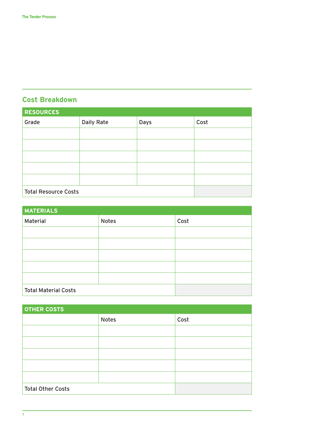# **Cost Breakdown**

| <b>RESOURCES</b>            |                   |      |      |  |  |
|-----------------------------|-------------------|------|------|--|--|
| Grade                       | <b>Daily Rate</b> | Days | Cost |  |  |
|                             |                   |      |      |  |  |
|                             |                   |      |      |  |  |
|                             |                   |      |      |  |  |
|                             |                   |      |      |  |  |
|                             |                   |      |      |  |  |
| <b>Total Resource Costs</b> |                   |      |      |  |  |

| <b>MATERIALS</b>            |              |      |  |  |  |
|-----------------------------|--------------|------|--|--|--|
| Material                    | <b>Notes</b> | Cost |  |  |  |
|                             |              |      |  |  |  |
|                             |              |      |  |  |  |
|                             |              |      |  |  |  |
|                             |              |      |  |  |  |
|                             |              |      |  |  |  |
| <b>Total Material Costs</b> |              |      |  |  |  |

| <b>OTHER COSTS</b>       |              |      |  |  |
|--------------------------|--------------|------|--|--|
|                          | <b>Notes</b> | Cost |  |  |
|                          |              |      |  |  |
|                          |              |      |  |  |
|                          |              |      |  |  |
|                          |              |      |  |  |
|                          |              |      |  |  |
| <b>Total Other Costs</b> |              |      |  |  |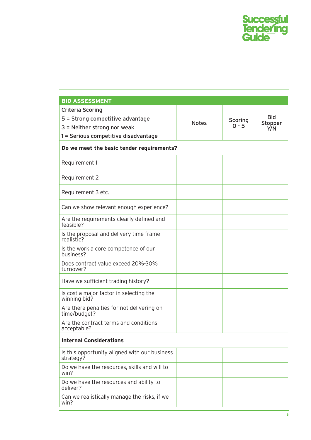

| <b>BID ASSESSMENT</b>                                      |              |         |                       |  |  |
|------------------------------------------------------------|--------------|---------|-----------------------|--|--|
| Criteria Scoring                                           |              |         |                       |  |  |
| 5 = Strong competitive advantage                           | <b>Notes</b> | Scoring | <b>Bid</b><br>Stopper |  |  |
| $3$ = Neither strong nor weak                              |              | $0 - 5$ | Y/N                   |  |  |
| 1 = Serious competitive disadvantage                       |              |         |                       |  |  |
| Do we meet the basic tender requirements?                  |              |         |                       |  |  |
| Requirement 1                                              |              |         |                       |  |  |
| Requirement 2                                              |              |         |                       |  |  |
| Requirement 3 etc.                                         |              |         |                       |  |  |
| Can we show relevant enough experience?                    |              |         |                       |  |  |
| Are the requirements clearly defined and<br>feasible?      |              |         |                       |  |  |
| Is the proposal and delivery time frame<br>realistic?      |              |         |                       |  |  |
| Is the work a core competence of our<br>business?          |              |         |                       |  |  |
| Does contract value exceed 20%-30%<br>turnover?            |              |         |                       |  |  |
| Have we sufficient trading history?                        |              |         |                       |  |  |
| Is cost a major factor in selecting the<br>winning bid?    |              |         |                       |  |  |
| Are there penalties for not delivering on<br>time/budget?  |              |         |                       |  |  |
| Are the contract terms and conditions<br>acceptable?       |              |         |                       |  |  |
| <b>Internal Considerations</b>                             |              |         |                       |  |  |
| Is this opportunity aligned with our business<br>strategy? |              |         |                       |  |  |
| Do we have the resources, skills and will to<br>win?       |              |         |                       |  |  |
| Do we have the resources and ability to<br>deliver?        |              |         |                       |  |  |
| Can we realistically manage the risks, if we<br>win?       |              |         |                       |  |  |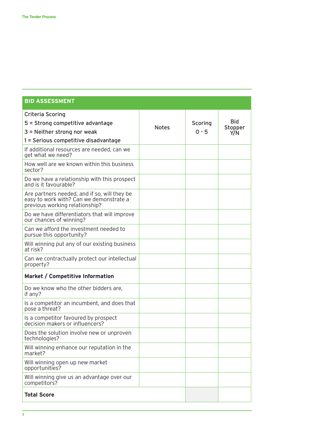| <b>BID ASSESSMENT</b>                                                                                                                |              |                    |                              |
|--------------------------------------------------------------------------------------------------------------------------------------|--------------|--------------------|------------------------------|
| <b>Criteria Scoring</b><br>5 = Strong competitive advantage<br>$3$ = Neither strong nor weak<br>1 = Serious competitive disadvantage | <b>Notes</b> | Scoring<br>$0 - 5$ | <b>Bid</b><br>Stopper<br>Y/N |
| If additional resources are needed, can we<br>get what we need?                                                                      |              |                    |                              |
| How well are we known within this business<br>sector?                                                                                |              |                    |                              |
| Do we have a relationship with this prospect<br>and is it favourable?                                                                |              |                    |                              |
| Are partners needed, and if so, will they be<br>easy to work with? Can we demonstrate a<br>previous working relationship?            |              |                    |                              |
| Do we have differentiators that will improve<br>our chances of winning?                                                              |              |                    |                              |
| Can we afford the investment needed to<br>pursue this opportunity?                                                                   |              |                    |                              |
| Will winning put any of our existing business<br>at risk?                                                                            |              |                    |                              |
| Can we contractually protect our intellectual<br>property?                                                                           |              |                    |                              |
| Market / Competitive Information                                                                                                     |              |                    |                              |
| Do we know who the other bidders are,<br>if any?                                                                                     |              |                    |                              |
| Is a competitor an incumbent, and does that<br>pose a threat?                                                                        |              |                    |                              |
| Is a competitor favoured by prospect<br>decision makers or influencers?                                                              |              |                    |                              |
| Does the solution involve new or unproven<br>technologies?                                                                           |              |                    |                              |
| Will winning enhance our reputation in the<br>market?                                                                                |              |                    |                              |
| Will winning open up new market<br>opportunities?                                                                                    |              |                    |                              |
| Will winning give us an advantage over our<br>competitors?                                                                           |              |                    |                              |
| <b>Total Score</b>                                                                                                                   |              |                    |                              |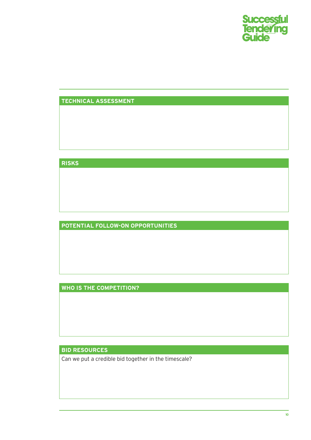

#### **TECHNICAL ASSESSMENT**

**RISKS**

**POTENTIAL FOLLOW-ON OPPORTUNITIES**

**WHO IS THE COMPETITION?**

**BID RESOURCES**

Can we put a credible bid together in the timescale?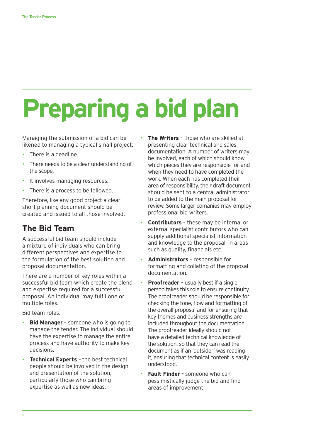# **Preparing a bid plan**

Managing the submission of a bid can be likened to managing a typical small project:

- There is a deadline.
- There needs to be a clear understanding of the scope.
- It involves managing resources.
- There is a process to be followed.

Therefore, like any good project a clear short planning document should be created and issued to all those involved.

# **The Bid Team**

A successful bid team should include a mixture of individuals who can bring different perspectives and expertise to the formulation of the best solution and proposal documentation.

There are a number of key roles within a successful bid team which create the blend and expertise required for a successful proposal. An individual may fulfil one or multiple roles.

Bid team roles:

- **Bid Manager** someone who is going to manage the tender. The individual should have the expertise to manage the entire process and have authority to make key decisions.
- **Technical Experts the best technical** people should be involved in the design and presentation of the solution, particularly those who can bring expertise as well as new ideas.
- **The Writers** those who are skilled at presenting clear technical and sales documentation. A number of writers may be involved, each of which should know which pieces they are responsible for and when they need to have completed the work. When each has completed their area of responsibility, their draft document should be sent to a central administrator to be added to the main proposal for review. Some larger comanies may employ professional bid writers.
- **Contributors** these may be internal or external specialist contributors who can supply additional specialist information and knowledge to the proposal, in areas such as quality, financials etc.
- **Administrators** responsible for formatting and collating of the proposal documentation.
- **Proofreader** usually best if a single person takes this role to ensure continuity. The proofreader should be responsible for checking the tone, flow and formatting of the overall proposal and for ensuring that key themes and business strengths are included throughout the documentation. The proofreader ideally should not have a detailed technical knowledge of the solution, so that they can read the document as if an 'outsider' was reading it, ensuring that technical content is easily understood.
- **Fault Finder** someone who can pessimistically judge the bid and find areas of improvement.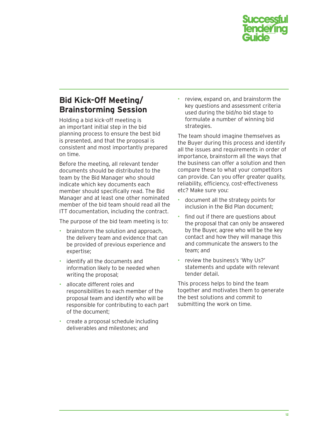

# **Bid Kick-Off Meeting/ Brainstorming Session**

Holding a bid kick-off meeting is an important initial step in the bid planning process to ensure the best bid is presented, and that the proposal is consistent and most importantly prepared on time.

Before the meeting, all relevant tender documents should be distributed to the team by the Bid Manager who should indicate which key documents each member should specifically read. The Bid Manager and at least one other nominated member of the bid team should read all the ITT documentation, including the contract.

The purpose of the bid team meeting is to:

- brainstorm the solution and approach, the delivery team and evidence that can be provided of previous experience and expertise;
- identify all the documents and information likely to be needed when writing the proposal;
- allocate different roles and responsibilities to each member of the proposal team and identify who will be responsible for contributing to each part of the document;
- create a proposal schedule including deliverables and milestones; and

• review, expand on, and brainstorm the key questions and assessment criteria used during the bid/no bid stage to formulate a number of winning bid strategies.

The team should imagine themselves as the Buyer during this process and identify all the issues and requirements in order of importance, brainstorm all the ways that the business can offer a solution and then compare these to what your competitors can provide. Can you offer greater quality, reliability, efficiency, cost-effectiveness etc? Make sure you:

- document all the strategy points for inclusion in the Bid Plan document;
- find out if there are questions about the proposal that can only be answered by the Buyer, agree who will be the key contact and how they will manage this and communicate the answers to the team; and
- review the business's 'Why Us?' statements and update with relevant tender detail.

This process helps to bind the team together and motivates them to generate the best solutions and commit to submitting the work on time.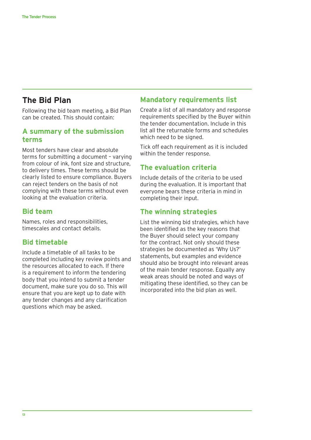### **The Bid Plan**

Following the bid team meeting, a Bid Plan can be created. This should contain:

#### **A summary of the submission terms**

Most tenders have clear and absolute terms for submitting a document – varying from colour of ink, font size and structure, to delivery times. These terms should be clearly listed to ensure compliance. Buyers can reject tenders on the basis of not complying with these terms without even looking at the evaluation criteria.

#### **Bid team**

Names, roles and responsibilities, timescales and contact details.

#### **Bid timetable**

Include a timetable of all tasks to be completed including key review points and the resources allocated to each. If there is a requirement to inform the tendering body that you intend to submit a tender document, make sure you do so. This will ensure that you are kept up to date with any tender changes and any clarification questions which may be asked.

#### **Mandatory requirements list**

Create a list of all mandatory and response requirements specified by the Buyer within the tender documentation. Include in this list all the returnable forms and schedules which need to be signed.

Tick off each requirement as it is included within the tender response.

#### **The evaluation criteria**

Include details of the criteria to be used during the evaluation. It is important that everyone bears these criteria in mind in completing their input.

#### **The winning strategies**

List the winning bid strategies, which have been identified as the key reasons that the Buyer should select your company for the contract. Not only should these strategies be documented as 'Why Us?' statements, but examples and evidence should also be brought into relevant areas of the main tender response. Equally any weak areas should be noted and ways of mitigating these identified, so they can be incorporated into the bid plan as well.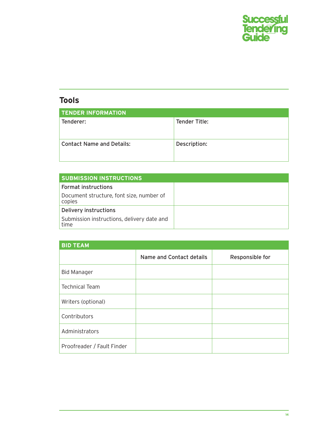

# **Tools**

| <b>TENDER INFORMATION</b>        |               |
|----------------------------------|---------------|
| Tenderer:                        | Tender Title: |
| <b>Contact Name and Details:</b> | Description:  |

| <b>SUBMISSION INSTRUCTIONS</b>                     |  |
|----------------------------------------------------|--|
| <b>Format instructions</b>                         |  |
| Document structure, font size, number of<br>copies |  |
| Delivery instructions                              |  |
| Submission instructions, delivery date and<br>time |  |

| <b>BID TEAM</b>            |                          |                 |
|----------------------------|--------------------------|-----------------|
|                            | Name and Contact details | Responsible for |
| <b>Bid Manager</b>         |                          |                 |
| <b>Technical Team</b>      |                          |                 |
| Writers (optional)         |                          |                 |
| Contributors               |                          |                 |
| Administrators             |                          |                 |
| Proofreader / Fault Finder |                          |                 |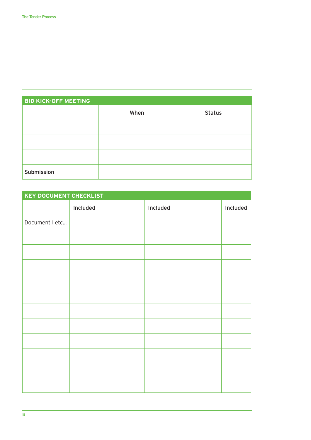| <b>BID KICK-OFF MEETING</b> |      |               |  |  |  |  |
|-----------------------------|------|---------------|--|--|--|--|
|                             | When | <b>Status</b> |  |  |  |  |
|                             |      |               |  |  |  |  |
|                             |      |               |  |  |  |  |
|                             |      |               |  |  |  |  |
| Submission                  |      |               |  |  |  |  |

| <b>KEY DOCUMENT CHECKLIST</b> |          |          |          |
|-------------------------------|----------|----------|----------|
|                               | Included | Included | Included |
| Document 1 etc                |          |          |          |
|                               |          |          |          |
|                               |          |          |          |
|                               |          |          |          |
|                               |          |          |          |
|                               |          |          |          |
|                               |          |          |          |
|                               |          |          |          |
|                               |          |          |          |
|                               |          |          |          |
|                               |          |          |          |
|                               |          |          |          |
|                               |          |          |          |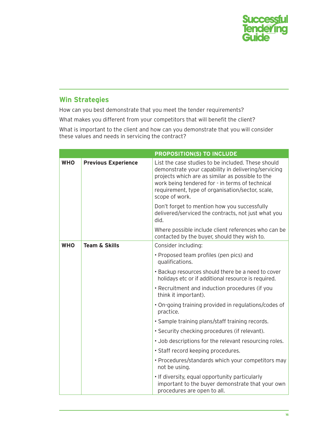

### **Win Strategies**

How can you best demonstrate that you meet the tender requirements?

What makes you different from your competitors that will benefit the client?

What is important to the client and how can you demonstrate that you will consider these values and needs in servicing the contract?

|            |                            | <b>PROPOSITION(S) TO INCLUDE</b>                                                                                                                                                                                                                                                       |
|------------|----------------------------|----------------------------------------------------------------------------------------------------------------------------------------------------------------------------------------------------------------------------------------------------------------------------------------|
| <b>WHO</b> | <b>Previous Experience</b> | List the case studies to be included. These should<br>demonstrate your capability in delivering/servicing<br>projects which are as similar as possible to the<br>work being tendered for - in terms of technical<br>requirement, type of organisation/sector, scale,<br>scope of work. |
|            |                            | Don't forget to mention how you successfully<br>delivered/serviced the contracts, not just what you<br>did.                                                                                                                                                                            |
|            |                            | Where possible include client references who can be<br>contacted by the buyer, should they wish to.                                                                                                                                                                                    |
| <b>WHO</b> | <b>Team &amp; Skills</b>   | Consider including:                                                                                                                                                                                                                                                                    |
|            |                            | • Proposed team profiles (pen pics) and<br>qualifications.                                                                                                                                                                                                                             |
|            |                            | • Backup resources should there be a need to cover<br>holidays etc or if additional resource is required.                                                                                                                                                                              |
|            |                            | • Recruitment and induction procedures (if you<br>think it important).                                                                                                                                                                                                                 |
|            |                            | • On-going training provided in regulations/codes of<br>practice.                                                                                                                                                                                                                      |
|            |                            | · Sample training plans/staff training records.                                                                                                                                                                                                                                        |
|            |                            | • Security checking procedures (if relevant).                                                                                                                                                                                                                                          |
|            |                            | . Job descriptions for the relevant resourcing roles.                                                                                                                                                                                                                                  |
|            |                            | · Staff record keeping procedures.                                                                                                                                                                                                                                                     |
|            |                            | • Procedures/standards which your competitors may<br>not be using.                                                                                                                                                                                                                     |
|            |                            | • If diversity, equal opportunity particularly<br>important to the buyer demonstrate that your own<br>procedures are open to all.                                                                                                                                                      |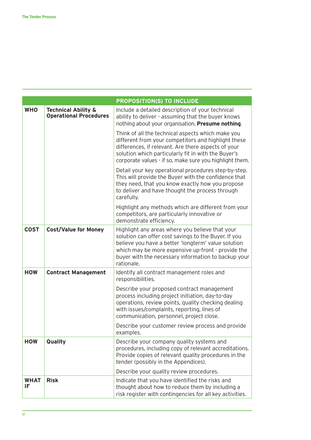|                   |                                                                 | <b>PROPOSITION(S) TO INCLUDE</b>                                                                                                                                                                                                                                                          |
|-------------------|-----------------------------------------------------------------|-------------------------------------------------------------------------------------------------------------------------------------------------------------------------------------------------------------------------------------------------------------------------------------------|
| <b>WHO</b>        | <b>Technical Ability &amp;</b><br><b>Operational Procedures</b> | Include a detailed description of your technical<br>ability to deliver - assuming that the buyer knows<br>nothing about your organisation. Presume nothing.                                                                                                                               |
|                   |                                                                 | Think of all the technical aspects which make you<br>different from your competitors and highlight these<br>differences, if relevant. Are there aspects of your<br>solution which particularly fit in with the Buyer's<br>corporate values - if so, make sure you highlight them.         |
|                   |                                                                 | Detail your key operational procedures step-by-step.<br>This will provide the Buyer with the confidence that<br>they need, that you know exactly how you propose<br>to deliver and have thought the process through<br>carefully.                                                         |
|                   |                                                                 | Highlight any methods which are different from your<br>competitors, are particularly innovative or<br>demonstrate efficiency.                                                                                                                                                             |
| <b>COST</b>       | <b>Cost/Value for Money</b>                                     | Highlight any areas where you believe that your<br>solution can offer cost savings to the Buyer. If you<br>believe you have a better 'longterm' value solution<br>which may be more expensive up-front - provide the<br>buyer with the necessary information to backup your<br>rationale. |
| <b>HOW</b>        | <b>Contract Management</b>                                      | Identify all contract management roles and<br>responsibilities.                                                                                                                                                                                                                           |
|                   |                                                                 | Describe your proposed contract management<br>process including project initiation, day-to-day<br>operations, review points, quality checking dealing<br>with issues/complaints, reporting, lines of<br>communication, personnel, project close.                                          |
|                   |                                                                 | Describe your customer review process and provide<br>examples.                                                                                                                                                                                                                            |
| <b>HOW</b>        | Quality                                                         | Describe your company quality systems and<br>procedures, including copy of relevant accreditations.<br>Provide copies of relevant quality procedures in the<br>tender (possibly in the Appendices).                                                                                       |
|                   |                                                                 | Describe your quality review procedures.                                                                                                                                                                                                                                                  |
| <b>WHAT</b><br>IF | <b>Risk</b>                                                     | Indicate that you have identified the risks and<br>thought about how to reduce them by including a<br>risk register with contingencies for all key activities.                                                                                                                            |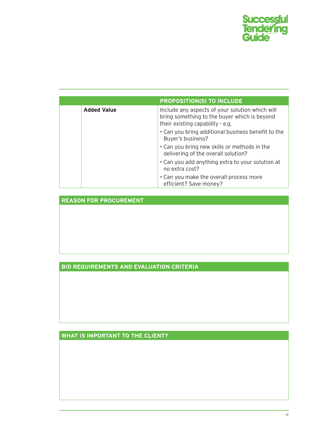

|                    | <b>PROPOSITION(S) TO INCLUDE</b>                                                                                                    |
|--------------------|-------------------------------------------------------------------------------------------------------------------------------------|
| <b>Added Value</b> | Include any aspects of your solution which will<br>bring something to the buyer which is beyond<br>their existing capability - e.g. |
|                    | . Can you bring additional business benefit to the<br>Buyer's business?                                                             |
|                    | • Can you bring new skills or methods in the<br>delivering of the overall solution?                                                 |
|                    | • Can you add anything extra to your solution at<br>no extra cost?                                                                  |
|                    | • Can you make the overall process more<br>efficient? Save money?                                                                   |

**REASON FOR PROCUREMENT**

#### **BID REQUIREMENTS AND EVALUATION CRITERIA**

**WHAT IS IMPORTANT TO THE CLIENT?**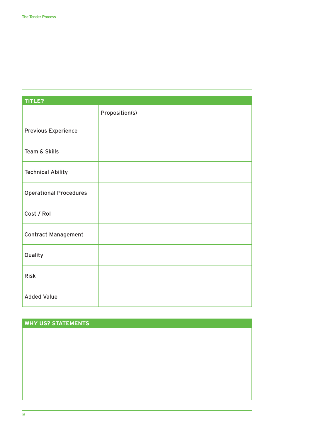| TITLE?                        |                |
|-------------------------------|----------------|
|                               | Proposition(s) |
| <b>Previous Experience</b>    |                |
| Team & Skills                 |                |
| <b>Technical Ability</b>      |                |
| <b>Operational Procedures</b> |                |
| Cost / Rol                    |                |
| <b>Contract Management</b>    |                |
| Quality                       |                |
| <b>Risk</b>                   |                |
| <b>Added Value</b>            |                |

#### **why us? statements**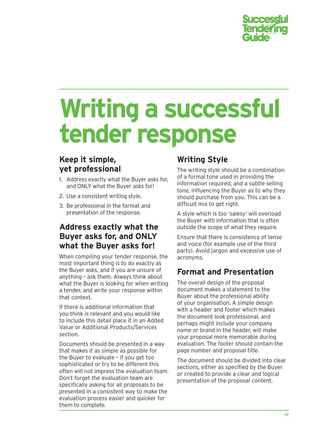

# **Writing a successful tender response**

# **yet professional**

- 1. Address exactly what the Buyer asks for, and ONLY what the Buyer asks for!
- 2. Use a consistent writing style.
- 3. Be professional in the format and presentation of the response.

# **Address exactly what the Buyer asks for, and ONLY what the Buyer asks for!**

When compiling your tender response, the most important thing is to do exactly as the Buyer asks, and if you are unsure of anything – ask them. Always think about what the Buyer is looking for when writing a tender, and write your response within that context.

If there is additional information that you think is relevant and you would like to include this detail place it in an Added Value or Additional Products/Services section.

Documents should be presented in a way that makes it as simple as possible for the Buyer to evaluate – if you get too sophisticated or try to be different this often will not impress the evaluation team. Don't forget the evaluation team are specifically asking for all proposals to be presented in a consistent way to make the evaluation process easier and quicker for them to complete.

# **Writing Style**

The writing style should be a combination of a formal tone used in providing the information required, and a subtle selling tone, influencing the Buyer as to why they should purchase from you. This can be a difficult mix to get right.

A style which is too 'salesy' will overload the Buyer with information that is often outside the scope of what they require.

Ensure that there is consistency of tense and voice (for example use of the third party). Avoid jargon and excessive use of acronyms.

# **Format and Presentation**

The overall design of the proposal document makes a statement to the Buyer about the professional ability of your organisation. A simple design with a header and footer which makes the document look professional, and perhaps might include your company name or brand in the header, will make your proposal more memorable during evaluation. The footer should contain the page number and proposal title.

The document should be divided into clear sections, either as specified by the Buyer or created to provide a clear and logical presentation of the proposal content.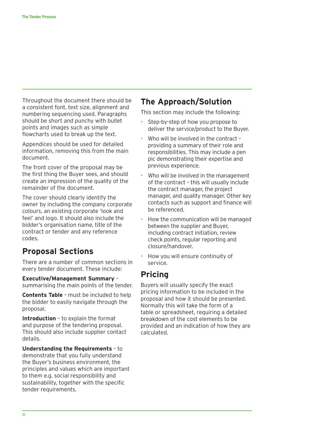Throughout the document there should be a consistent font, text size, alignment and numbering sequencing used. Paragraphs should be short and punchy with bullet points and images such as simple flowcharts used to break up the text.

Appendices should be used for detailed information, removing this from the main document.

The front cover of the proposal may be the first thing the Buyer sees, and should create an impression of the quality of the remainder of the document.

The cover should clearly identify the owner by including the company corporate colours, an existing corporate 'look and feel' and logo. It should also include the bidder's organisation name, title of the contract or tender and any reference codes.

# **Proposal Sections**

There are a number of common sections in every tender document. These include:

**Executive/Management Summary** – summarising the main points of the tender.

**Contents Table** – must be included to help the bidder to easily navigate through the proposal.

**Introduction** – to explain the format and purpose of the tendering proposal. This should also include supplier contact details.

**Understanding the Requirements** – to demonstrate that you fully understand the Buyer's business environment, the principles and values which are important to them e.g. social responsibility and sustainability, together with the specific tender requirements.

### **The Approach/Solution**

This section may include the following:

- Step-by-step of how you propose to deliver the service/product to the Buyer.
- Who will be involved in the contract providing a summary of their role and responsibilities. This may include a pen pic demonstrating their expertise and previous experience.
- Who will be involved in the management of the contract – this will usually include the contract manager, the project manager, and quality manager. Other key contacts such as support and finance will be referenced.
- How the communication will be managed between the supplier and Buyer, including contract initiation, review check points, regular reporting and closure/handover.
- How you will ensure continuity of service.

### **Pricing**

Buyers will usually specify the exact pricing information to be included in the proposal and how it should be presented. Normally this will take the form of a table or spreadsheet, requiring a detailed breakdown of the cost elements to be provided and an indication of how they are calculated.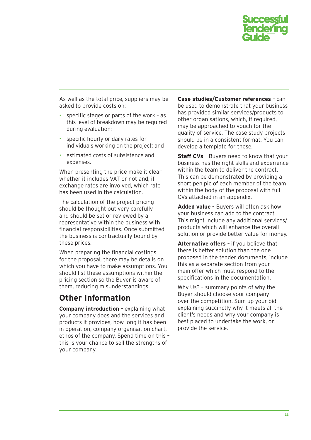

As well as the total price, suppliers may be asked to provide costs on:

- specific stages or parts of the work as this level of breakdown may be required during evaluation;
- specific hourly or daily rates for individuals working on the project; and
- estimated costs of subsistence and expenses.

When presenting the price make it clear whether it includes VAT or not and, if exchange rates are involved, which rate has been used in the calculation.

The calculation of the project pricing should be thought out very carefully and should be set or reviewed by a representative within the business with financial responsibilities. Once submitted the business is contractually bound by these prices.

When preparing the financial costings for the proposal, there may be details on which you have to make assumptions. You should list these assumptions within the pricing section so the Buyer is aware of them, reducing misunderstandings.

# **Other Information**

**Company introduction** – explaining what your company does and the services and products it provides, how long it has been in operation, company organisation chart, ethos of the company. Spend time on this – this is your chance to sell the strengths of your company.

**Case studies/Customer references** – can be used to demonstrate that your business has provided similar services/products to other organisations, which, if required, may be approached to vouch for the quality of service. The case study projects should be in a consistent format. You can develop a template for these.

**Staff CVs** – Buyers need to know that your business has the right skills and experience within the team to deliver the contract. This can be demonstrated by providing a short pen pic of each member of the team within the body of the proposal with full CVs attached in an appendix.

**Added value** – Buyers will often ask how your business can add to the contract. This might include any additional services/ products which will enhance the overall solution or provide better value for money.

**Alternative offers** – if you believe that there is better solution than the one proposed in the tender documents, include this as a separate section from your main offer which must respond to the specifications in the documentation.

Why Us? – summary points of why the Buyer should choose your company over the competition. Sum up your bid, explaining succinctly why it meets all the client's needs and why your company is best placed to undertake the work, or provide the service.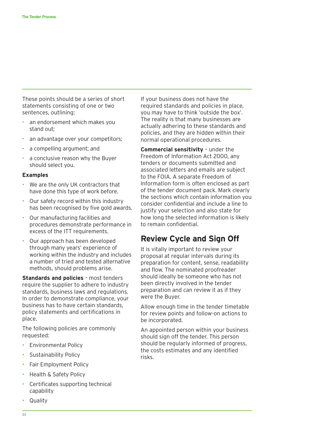These points should be a series of short statements consisting of one or two sentences, outlining:

- an endorsement which makes you stand out;
- an advantage over your competitors;
- a compelling argument; and
- a conclusive reason why the Buyer should select you.

#### **Examples**

- We are the only UK contractors that have done this type of work before.
- Our safety record within this industry has been recognised by five gold awards.
- Our manufacturing facilities and procedures demonstrate performance in excess of the ITT requirements.
- Our approach has been developed through many years' experience of working within the industry and includes a number of tried and tested alternative methods, should problems arise.

**Standards and policies** – most tenders require the supplier to adhere to industry standards, business laws and regulations. In order to demonstrate compliance, your business has to have certain standards, policy statements and certifications in place.

The following policies are commonly requested:

- Environmental Policy
- Sustainability Policy
- Fair Employment Policy
- Health & Safety Policy
- Certificates supporting technical capability
- Quality

If your business does not have the required standards and policies in place, you may have to think 'outside the box'. The reality is that many businesses are actually adhering to these standards and policies, and they are hidden within their normal operational procedures.

**Commercial sensitivity** – under the Freedom of Information Act 2000, any tenders or documents submitted and associated letters and emails are subject to the FOIA. A separate Freedom of Information form is often enclosed as part of the tender document pack. Mark clearly the sections which contain information you consider confidential and include a line to justify your selection and also state for how long the selected information is likely to remain confidential.

#### **Review Cycle and Sign Off**

It is vitally important to review your proposal at regular intervals during its preparation for content, sense, readability and flow. The nominated proofreader should ideally be someone who has not been directly involved in the tender preparation and can review it as if they were the Buyer.

Allow enough time in the tender timetable for review points and follow-on actions to be incorporated.

An appointed person within your business should sign off the tender. This person should be regularly informed of progress, the costs estimates and any identified risks.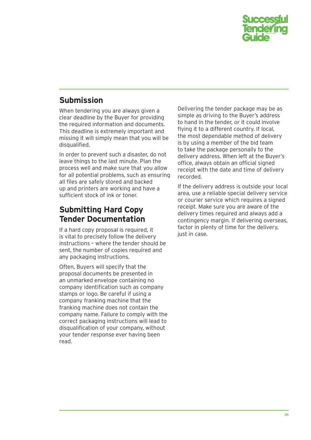

# **Submission**

When tendering you are always given a clear deadline by the Buyer for providing the required information and documents. This deadline is extremely important and missing it will simply mean that you will be disqualified.

In order to prevent such a disaster, do not leave things to the last minute. Plan the process well and make sure that you allow for all potential problems, such as ensuring all files are safely stored and backed up and printers are working and have a sufficient stock of ink or toner.

# **Submitting Hard Copy Tender Documentation**

If a hard copy proposal is required, it is vital to precisely follow the delivery instructions – where the tender should be sent, the number of copies required and any packaging instructions.

Often, Buyers will specify that the proposal documents be presented in an unmarked envelope containing no company identification such as company stamps or logo. Be careful if using a company franking machine that the franking machine does not contain the company name. Failure to comply with the correct packaging instructions will lead to disqualification of your company, without your tender response ever having been read.

Delivering the tender package may be as simple as driving to the Buyer's address to hand in the tender, or it could involve flying it to a different country. If local, the most dependable method of delivery is by using a member of the bid team to take the package personally to the delivery address. When left at the Buyer's office, always obtain an official signed receipt with the date and time of delivery recorded.

If the delivery address is outside your local area, use a reliable special delivery service or courier service which requires a signed receipt. Make sure you are aware of the delivery times required and always add a contingency margin. If delivering overseas, factor in plenty of time for the delivery, just in case.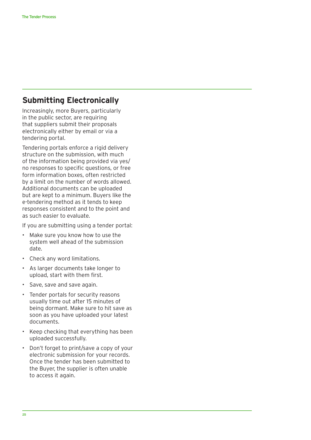# **Submitting Electronically**

Increasingly, more Buyers, particularly in the public sector, are requiring that suppliers submit their proposals electronically either by email or via a tendering portal.

Tendering portals enforce a rigid delivery structure on the submission, with much of the information being provided via yes/ no responses to specific questions, or free form information boxes, often restricted by a limit on the number of words allowed. Additional documents can be uploaded but are kept to a minimum. Buyers like the e-tendering method as it tends to keep responses consistent and to the point and as such easier to evaluate.

If you are submitting using a tender portal:

- Make sure you know how to use the system well ahead of the submission date.
- Check any word limitations.
- As larger documents take longer to upload, start with them first.
- Save, save and save again.
- Tender portals for security reasons usually time out after 15 minutes of being dormant. Make sure to hit save as soon as you have uploaded your latest documents.
- Keep checking that everything has been uploaded successfully.
- Don't forget to print/save a copy of your electronic submission for your records. Once the tender has been submitted to the Buyer, the supplier is often unable to access it again.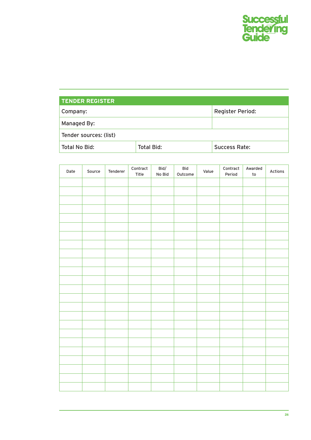

| <b>TENDER REGISTER</b> |                         |  |  |  |  |
|------------------------|-------------------------|--|--|--|--|
| Company:               | <b>Register Period:</b> |  |  |  |  |
| Managed By:            |                         |  |  |  |  |
| Tender sources: (list) |                         |  |  |  |  |
| Total No Bid:          | <b>Success Rate:</b>    |  |  |  |  |

| Date | Source | Tenderer | $\begin{array}{ll} \textbf{Contract} \end{array}$<br>Title | $\mathsf{Bid}/$<br>No Bid | Bid<br>Outcome | Value | $\begin{array}{lll} \textbf{Contract} \end{array}$<br>Period | Awarded<br>$\mathsf{to}$ | Actions |
|------|--------|----------|------------------------------------------------------------|---------------------------|----------------|-------|--------------------------------------------------------------|--------------------------|---------|
|      |        |          |                                                            |                           |                |       |                                                              |                          |         |
|      |        |          |                                                            |                           |                |       |                                                              |                          |         |
|      |        |          |                                                            |                           |                |       |                                                              |                          |         |
|      |        |          |                                                            |                           |                |       |                                                              |                          |         |
|      |        |          |                                                            |                           |                |       |                                                              |                          |         |
|      |        |          |                                                            |                           |                |       |                                                              |                          |         |
|      |        |          |                                                            |                           |                |       |                                                              |                          |         |
|      |        |          |                                                            |                           |                |       |                                                              |                          |         |
|      |        |          |                                                            |                           |                |       |                                                              |                          |         |
|      |        |          |                                                            |                           |                |       |                                                              |                          |         |
|      |        |          |                                                            |                           |                |       |                                                              |                          |         |
|      |        |          |                                                            |                           |                |       |                                                              |                          |         |
|      |        |          |                                                            |                           |                |       |                                                              |                          |         |
|      |        |          |                                                            |                           |                |       |                                                              |                          |         |
|      |        |          |                                                            |                           |                |       |                                                              |                          |         |
|      |        |          |                                                            |                           |                |       |                                                              |                          |         |
|      |        |          |                                                            |                           |                |       |                                                              |                          |         |
|      |        |          |                                                            |                           |                |       |                                                              |                          |         |
|      |        |          |                                                            |                           |                |       |                                                              |                          |         |
|      |        |          |                                                            |                           |                |       |                                                              |                          |         |
|      |        |          |                                                            |                           |                |       |                                                              |                          |         |
|      |        |          |                                                            |                           |                |       |                                                              |                          |         |
|      |        |          |                                                            |                           |                |       |                                                              |                          |         |
|      |        |          |                                                            |                           |                |       |                                                              |                          |         |
|      |        |          |                                                            |                           |                |       |                                                              |                          |         |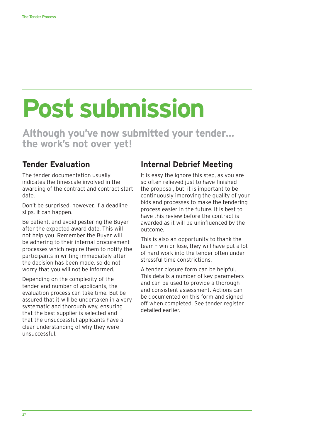# **Post submission**

**Although you've now submitted your tender… the work's not over yet!**

# **Tender Evaluation**

The tender documentation usually indicates the timescale involved in the awarding of the contract and contract start date.

Don't be surprised, however, if a deadline slips, it can happen.

Be patient, and avoid pestering the Buyer after the expected award date. This will not help you. Remember the Buyer will be adhering to their internal procurement processes which require them to notify the participants in writing immediately after the decision has been made, so do not worry that you will not be informed.

Depending on the complexity of the tender and number of applicants, the evaluation process can take time. But be assured that it will be undertaken in a very systematic and thorough way, ensuring that the best supplier is selected and that the unsuccessful applicants have a clear understanding of why they were unsuccessful.

# **Internal Debrief Meeting**

It is easy the ignore this step, as you are so often relieved just to have finished the proposal, but, it is important to be continuously improving the quality of your bids and processes to make the tendering process easier in the future. It is best to have this review before the contract is awarded as it will be uninfluenced by the outcome.

This is also an opportunity to thank the team – win or lose, they will have put a lot of hard work into the tender often under stressful time constrictions.

A tender closure form can be helpful. This details a number of key parameters and can be used to provide a thorough and consistent assessment. Actions can be documented on this form and signed off when completed. See tender register detailed earlier.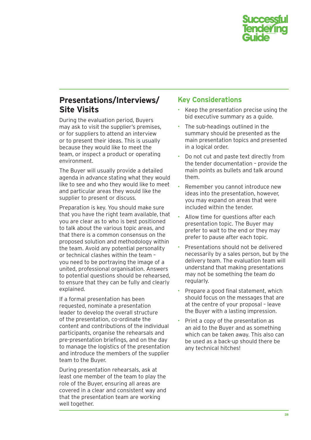

### **Presentations/Interviews/ Site Visits**

During the evaluation period, Buyers may ask to visit the supplier's premises, or for suppliers to attend an interview or to present their ideas. This is usually because they would like to meet the team, or inspect a product or operating environment.

The Buyer will usually provide a detailed agenda in advance stating what they would like to see and who they would like to meet and particular areas they would like the supplier to present or discuss.

Preparation is key. You should make sure that you have the right team available, that you are clear as to who is best positioned to talk about the various topic areas, and that there is a common consensus on the proposed solution and methodology within the team. Avoid any potential personality or technical clashes within the team – you need to be portraying the image of a united, professional organisation. Answers to potential questions should be rehearsed, to ensure that they can be fully and clearly explained.

If a formal presentation has been requested, nominate a presentation leader to develop the overall structure of the presentation, co-ordinate the content and contributions of the individual participants, organise the rehearsals and pre-presentation briefings, and on the day to manage the logistics of the presentation and introduce the members of the supplier team to the Buyer.

During presentation rehearsals, ask at least one member of the team to play the role of the Buyer, ensuring all areas are covered in a clear and consistent way and that the presentation team are working well together.

#### **Key Considerations**

- Keep the presentation precise using the bid executive summary as a guide.
- The sub-headings outlined in the summary should be presented as the main presentation topics and presented in a logical order.
- Do not cut and paste text directly from the tender documentation – provide the main points as bullets and talk around them.
- Remember you cannot introduce new ideas into the presentation, however, you may expand on areas that were included within the tender.
- Allow time for questions after each presentation topic. The Buyer may prefer to wait to the end or they may prefer to pause after each topic.
- Presentations should not be delivered necessarily by a sales person, but by the delivery team. The evaluation team will understand that making presentations may not be something the team do regularly.
- Prepare a good final statement, which should focus on the messages that are at the centre of your proposal – leave the Buyer with a lasting impression.
- Print a copy of the presentation as an aid to the Buyer and as something which can be taken away. This also can be used as a back-up should there be any technical hitches!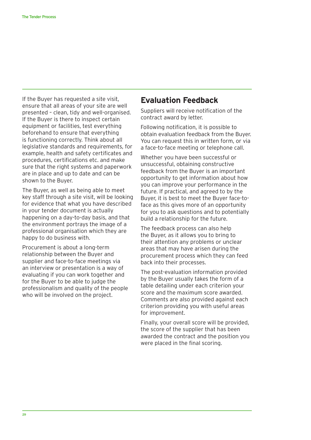If the Buyer has requested a site visit, ensure that all areas of your site are well presented – clean, tidy and well-organised. If the Buyer is there to inspect certain equipment or facilities, test everything beforehand to ensure that everything is functioning correctly. Think about all legislative standards and requirements, for example, health and safety certificates and procedures, certifications etc. and make sure that the right systems and paperwork are in place and up to date and can be shown to the Buyer.

The Buyer, as well as being able to meet key staff through a site visit, will be looking for evidence that what you have described in your tender document is actually happening on a day-to-day basis, and that the environment portrays the image of a professional organisation which they are happy to do business with.

Procurement is about a long-term relationship between the Buyer and supplier and face-to-face meetings via an interview or presentation is a way of evaluating if you can work together and for the Buyer to be able to judge the professionalism and quality of the people who will be involved on the project.

#### **Evaluation Feedback**

Suppliers will receive notification of the contract award by letter.

Following notification, it is possible to obtain evaluation feedback from the Buyer. You can request this in written form, or via a face-to-face meeting or telephone call.

Whether you have been successful or unsuccessful, obtaining constructive feedback from the Buyer is an important opportunity to get information about how you can improve your performance in the future. If practical, and agreed to by the Buyer, it is best to meet the Buyer face-toface as this gives more of an opportunity for you to ask questions and to potentially build a relationship for the future.

The feedback process can also help the Buyer, as it allows you to bring to their attention any problems or unclear areas that may have arisen during the procurement process which they can feed back into their processes.

The post-evaluation information provided by the Buyer usually takes the form of a table detailing under each criterion your score and the maximum score awarded. Comments are also provided against each criterion providing you with useful areas for improvement.

Finally, your overall score will be provided, the score of the supplier that has been awarded the contract and the position you were placed in the final scoring.